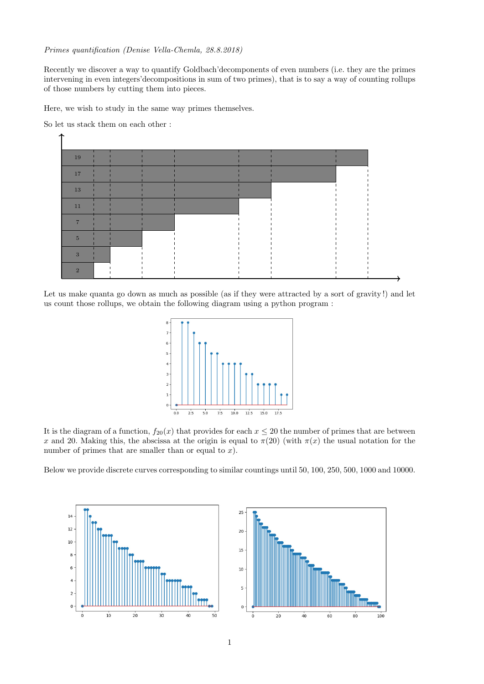## Primes quantification (Denise Vella-Chemla, 28.8.2018)

Recently we discover a way to quantify Goldbach'decomponents of even numbers (i.e. they are the primes intervening in even integers'decompositions in sum of two primes), that is to say a way of counting rollups of those numbers by cutting them into pieces.

Here, we wish to study in the same way primes themselves.

So let us stack them on each other :



Let us make quanta go down as much as possible (as if they were attracted by a sort of gravity!) and let us count those rollups, we obtain the following diagram using a python program :



It is the diagram of a function,  $f_{20}(x)$  that provides for each  $x \le 20$  the number of primes that are between x and 20. Making this, the abscissa at the origin is equal to  $\pi(20)$  (with  $\pi(x)$ ) the usual notation for the number of primes that are smaller than or equal to  $x$ ).

Below we provide discrete curves corresponding to similar countings until 50, 100, 250, 500, 1000 and 10000.